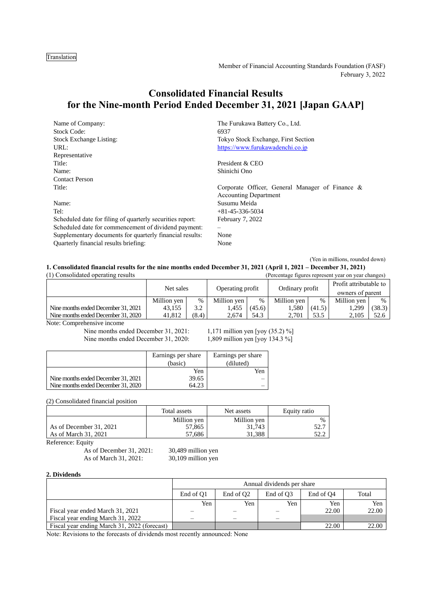Translation

Member of Financial Accounting Standards Foundation (FASF) February 3, 2022

# **Consolidated Financial Results for the Nine-month Period Ended December 31, 2021 [Japan GAAP]**

| Name of Company:                                          | The Furukawa Battery Co., Ltd.                                                  |
|-----------------------------------------------------------|---------------------------------------------------------------------------------|
| <b>Stock Code:</b>                                        | 6937                                                                            |
| <b>Stock Exchange Listing:</b>                            | Tokyo Stock Exchange, First Section                                             |
| URL:                                                      | https://www.furukawadenchi.co.jp                                                |
| Representative                                            |                                                                                 |
| Title:                                                    | President & CEO                                                                 |
| Name:                                                     | Shinichi Ono                                                                    |
| <b>Contact Person</b>                                     |                                                                                 |
| Title:                                                    | Corporate Officer, General Manager of Finance &<br><b>Accounting Department</b> |
| Name:                                                     | Susumu Meida                                                                    |
| Tel:                                                      | $+81-45-336-5034$                                                               |
| Scheduled date for filing of quarterly securities report: | February 7, 2022                                                                |
| Scheduled date for commencement of dividend payment:      |                                                                                 |
| Supplementary documents for quarterly financial results:  | None                                                                            |
| Quarterly financial results briefing:                     | None                                                                            |

(Yen in millions, rounded down)

**1. Consolidated financial results for the nine months ended December 31, 2021 (April 1, 2021 – December 31, 2021)**

| (1) Consolidated operating results<br>(Percentage figures represent year on year changes) |             |       |                  |        |                 |        |                        |        |
|-------------------------------------------------------------------------------------------|-------------|-------|------------------|--------|-----------------|--------|------------------------|--------|
|                                                                                           | Net sales   |       | Operating profit |        | Ordinary profit |        | Profit attributable to |        |
|                                                                                           |             |       |                  |        |                 |        | owners of parent       |        |
|                                                                                           | Million yen | $\%$  | Million yen      | $\%$   | Million ven     | $\%$   | Million yen            | $\%$   |
| Nine months ended December 31, 2021                                                       | 43,155      | 3.2   | 1.455            | (45.6) | 1.580           | (41.5) | 1,299                  | (38.3) |
| Nine months ended December 31, 2020                                                       | 41.812      | (8.4) | 2.674            | 54.3   | 2.701           | 53.5   | 2.105                  | 52.6   |
| Nota: Comprehensive income                                                                |             |       |                  |        |                 |        |                        |        |

Note: Comprehensive income

Nine months ended December 31, 2020: 1,809 million yen [yoy 134.3 %]

Nine months ended December 31, 2021: 1,171 million yen [yoy (35.2) %]

|                                     | Earnings per share | Earnings per share |
|-------------------------------------|--------------------|--------------------|
|                                     | (basic)            | (diluted)          |
|                                     | Yen                | Yen                |
| Nine months ended December 31, 2021 | 39.65              |                    |
| Nine months ended December 31, 2020 | 64.23              |                    |

(2) Consolidated financial position

|                         | Total assets | Net assets  | Equity ratio |
|-------------------------|--------------|-------------|--------------|
|                         | Million yen  | Million yen |              |
| As of December 31, 2021 | 57,865       | 31.743      | 52.7         |
| As of March 31, 2021    | 57.686       | 31.388      |              |

Reference: Equity

As of December 31, 2021: 30,489 million yen As of March 31, 2021: 30,109 million yen

#### **2. Dividends**

|                                              |           | Annual dividends per share |                       |                       |       |  |  |  |  |  |
|----------------------------------------------|-----------|----------------------------|-----------------------|-----------------------|-------|--|--|--|--|--|
|                                              | End of O1 | End of O <sub>2</sub>      | End of O <sub>3</sub> | End of O <sub>4</sub> | Total |  |  |  |  |  |
|                                              | Yen       | Yen                        | Yen                   | Yen                   | Yen   |  |  |  |  |  |
| Fiscal year ended March 31, 2021             |           |                            |                       | 22.00                 | 22.00 |  |  |  |  |  |
| Fiscal year ending March 31, 2022            |           |                            |                       |                       |       |  |  |  |  |  |
| Fiscal year ending March 31, 2022 (forecast) |           |                            |                       | 22.00                 | 22.00 |  |  |  |  |  |

Note: Revisions to the forecasts of dividends most recently announced: None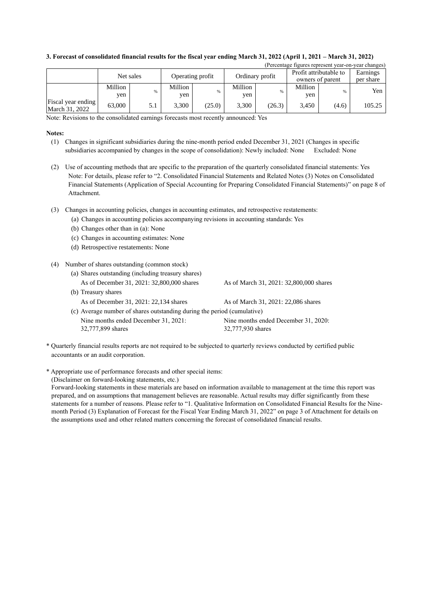|                                      |                |           |                  |        |                 |        |                                            |       | refectuage ligures represent year-on-year changes) |
|--------------------------------------|----------------|-----------|------------------|--------|-----------------|--------|--------------------------------------------|-------|----------------------------------------------------|
|                                      |                | Net sales | Operating profit |        | Ordinary profit |        | Profit attributable to<br>owners of parent |       | Earnings<br>per share                              |
|                                      | Million<br>yen | %         | Million<br>ven   | %      | Million<br>yen  |        | Million<br>yen                             | %     | Yen                                                |
| Fiscal year ending<br>March 31, 2022 | 63,000         | 5.1       | 3.300            | (25.0) | 3.300           | (26.3) | 3,450                                      | (4.6) | 105.25                                             |

 $(D_{\text{max}})$  year-on-year-on-year-on-year-on-year-on-year-on-year-on-year-on-year-on-year-on-year-on-year-on-year changes)

### **3. Forecast of consolidated financial results for the fiscal year ending March 31, 2022 (April 1, 2021 – March 31, 2022)**

Note: Revisions to the consolidated earnings forecasts most recently announced: Yes

#### **Notes:**

- (1) Changes in significant subsidiaries during the nine-month period ended December 31, 2021 (Changes in specific subsidiaries accompanied by changes in the scope of consolidation): Newly included: None Excluded: None
- (2) Use of accounting methods that are specific to the preparation of the quarterly consolidated financial statements: Yes Note: For details, please refer to "2. Consolidated Financial Statements and Related Notes (3) Notes on Consolidated Financial Statements (Application of Special Accounting for Preparing Consolidated Financial Statements)" on page 8 of Attachment.
- (3) Changes in accounting policies, changes in accounting estimates, and retrospective restatements:
	- (a) Changes in accounting policies accompanying revisions in accounting standards: Yes
	- (b) Changes other than in (a): None
	- (c) Changes in accounting estimates: None
	- (d) Retrospective restatements: None
- (4) Number of shares outstanding (common stock)
	- (a) Shares outstanding (including treasury shares) As of December 31, 2021: 32,800,000 shares As of March 31, 2021: 32,800,000 shares (b) Treasury shares As of December 31, 2021: 22,134 shares As of March 31, 2021: 22,086 shares (c) Average number of shares outstanding during the period (cumulative)
	- Nine months ended December 31, 2021: 32,777,899 shares Nine months ended December 31, 2020: 32,777,930 shares
- \* Quarterly financial results reports are not required to be subjected to quarterly reviews conducted by certified public accountants or an audit corporation.
- \* Appropriate use of performance forecasts and other special items:

(Disclaimer on forward-looking statements, etc.)

Forward-looking statements in these materials are based on information available to management at the time this report was prepared, and on assumptions that management believes are reasonable. Actual results may differ significantly from these statements for a number of reasons. Please refer to "1. Qualitative Information on Consolidated Financial Results for the Ninemonth Period (3) Explanation of Forecast for the Fiscal Year Ending March 31, 2022" on page 3 of Attachment for details on the assumptions used and other related matters concerning the forecast of consolidated financial results.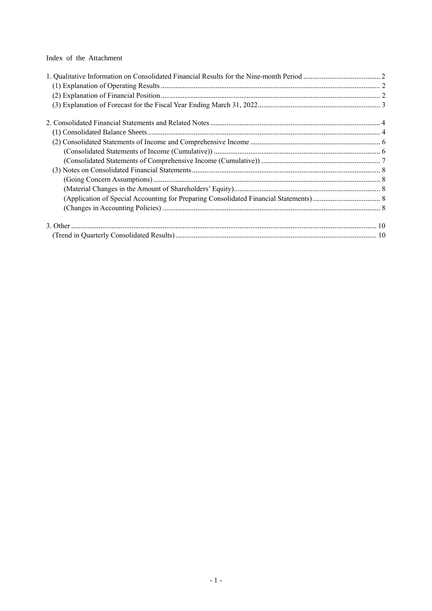Index of the Attachment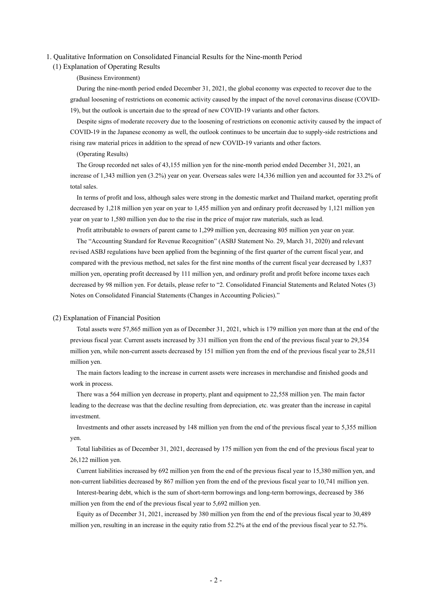#### <span id="page-3-1"></span><span id="page-3-0"></span>1. Qualitative Information on Consolidated Financial Results for the Nine-month Period

#### (1) Explanation of Operating Results

#### (Business Environment)

During the nine-month period ended December 31, 2021, the global economy was expected to recover due to the gradual loosening of restrictions on economic activity caused by the impact of the novel coronavirus disease (COVID-19), but the outlook is uncertain due to the spread of new COVID-19 variants and other factors.

Despite signs of moderate recovery due to the loosening of restrictions on economic activity caused by the impact of COVID-19 in the Japanese economy as well, the outlook continues to be uncertain due to supply-side restrictions and rising raw material prices in addition to the spread of new COVID-19 variants and other factors.

#### (Operating Results)

The Group recorded net sales of 43,155 million yen for the nine-month period ended December 31, 2021, an increase of 1,343 million yen (3.2%) year on year. Overseas sales were 14,336 million yen and accounted for 33.2% of total sales.

In terms of profit and loss, although sales were strong in the domestic market and Thailand market, operating profit decreased by 1,218 million yen year on year to 1,455 million yen and ordinary profit decreased by 1,121 million yen year on year to 1,580 million yen due to the rise in the price of major raw materials, such as lead.

Profit attributable to owners of parent came to 1,299 million yen, decreasing 805 million yen year on year.

The "Accounting Standard for Revenue Recognition" (ASBJ Statement No. 29, March 31, 2020) and relevant revised ASBJ regulations have been applied from the beginning of the first quarter of the current fiscal year, and compared with the previous method, net sales for the first nine months of the current fiscal year decreased by 1,837 million yen, operating profit decreased by 111 million yen, and ordinary profit and profit before income taxes each decreased by 98 million yen. For details, please refer to "2. Consolidated Financial Statements and Related Notes (3) Notes on Consolidated Financial Statements (Changes in Accounting Policies)."

#### <span id="page-3-2"></span>(2) Explanation of Financial Position

Total assets were 57,865 million yen as of December 31, 2021, which is 179 million yen more than at the end of the previous fiscal year. Current assets increased by 331 million yen from the end of the previous fiscal year to 29,354 million yen, while non-current assets decreased by 151 million yen from the end of the previous fiscal year to 28,511 million yen.

The main factors leading to the increase in current assets were increases in merchandise and finished goods and work in process.

There was a 564 million yen decrease in property, plant and equipment to 22,558 million yen. The main factor leading to the decrease was that the decline resulting from depreciation, etc. was greater than the increase in capital investment.

Investments and other assets increased by 148 million yen from the end of the previous fiscal year to 5,355 million yen.

Total liabilities as of December 31, 2021, decreased by 175 million yen from the end of the previous fiscal year to 26,122 million yen.

Current liabilities increased by 692 million yen from the end of the previous fiscal year to 15,380 million yen, and non-current liabilities decreased by 867 million yen from the end of the previous fiscal year to 10,741 million yen.

Interest-bearing debt, which is the sum of short-term borrowings and long-term borrowings, decreased by 386 million yen from the end of the previous fiscal year to 5,692 million yen.

Equity as of December 31, 2021, increased by 380 million yen from the end of the previous fiscal year to 30,489 million yen, resulting in an increase in the equity ratio from 52.2% at the end of the previous fiscal year to 52.7%.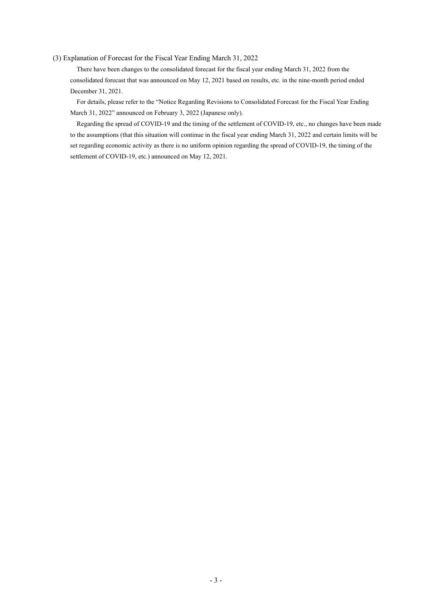#### <span id="page-4-0"></span>(3) Explanation of Forecast for the Fiscal Year Ending March 31, 2022

There have been changes to the consolidated forecast for the fiscal year ending March 31, 2022 from the consolidated forecast that was announced on May 12, 2021 based on results, etc. in the nine-month period ended December 31, 2021.

For details, please refer to the "Notice Regarding Revisions to Consolidated Forecast for the Fiscal Year Ending March 31, 2022" announced on February 3, 2022 (Japanese only).

Regarding the spread of COVID-19 and the timing of the settlement of COVID-19, etc., no changes have been made to the assumptions (that this situation will continue in the fiscal year ending March 31, 2022 and certain limits will be set regarding economic activity as there is no uniform opinion regarding the spread of COVID-19, the timing of the settlement of COVID-19, etc.) announced on May 12, 2021.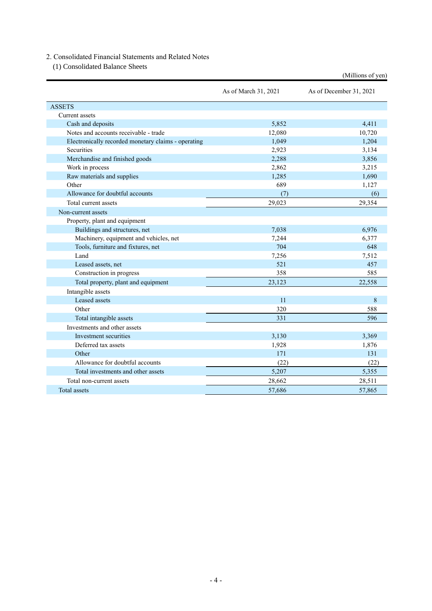### <span id="page-5-0"></span>2. Consolidated Financial Statements and Related Notes

<span id="page-5-1"></span>(1) Consolidated Balance Sheets

|                                                     |                      | (Millions of yen)       |
|-----------------------------------------------------|----------------------|-------------------------|
|                                                     | As of March 31, 2021 | As of December 31, 2021 |
| <b>ASSETS</b>                                       |                      |                         |
| Current assets                                      |                      |                         |
| Cash and deposits                                   | 5.852                | 4,411                   |
| Notes and accounts receivable - trade               | 12,080               | 10,720                  |
| Electronically recorded monetary claims - operating | 1,049                | 1,204                   |
| Securities                                          | 2,923                | 3,134                   |
| Merchandise and finished goods                      | 2,288                | 3,856                   |
| Work in process                                     | 2,862                | 3,215                   |
| Raw materials and supplies                          | 1,285                | 1,690                   |
| Other                                               | 689                  | 1,127                   |
| Allowance for doubtful accounts                     | (7)                  | (6)                     |
| Total current assets                                | 29,023               | 29,354                  |
| Non-current assets                                  |                      |                         |
| Property, plant and equipment                       |                      |                         |
| Buildings and structures, net                       | 7,038                | 6,976                   |
| Machinery, equipment and vehicles, net              | 7,244                | 6,377                   |
| Tools, furniture and fixtures, net                  | 704                  | 648                     |
| Land                                                | 7,256                | 7,512                   |
| Leased assets, net                                  | 521                  | 457                     |
| Construction in progress                            | 358                  | 585                     |
| Total property, plant and equipment                 | 23,123               | 22,558                  |
| Intangible assets                                   |                      |                         |
| Leased assets                                       | 11                   | 8                       |
| Other                                               | 320                  | 588                     |
| Total intangible assets                             | 331                  | 596                     |
| Investments and other assets                        |                      |                         |
| Investment securities                               | 3,130                | 3,369                   |
| Deferred tax assets                                 | 1,928                | 1,876                   |
| Other                                               | 171                  | 131                     |
| Allowance for doubtful accounts                     | (22)                 | (22)                    |
| Total investments and other assets                  | 5,207                | 5,355                   |
| Total non-current assets                            | 28,662               | 28,511                  |
| Total assets                                        | 57,686               | 57,865                  |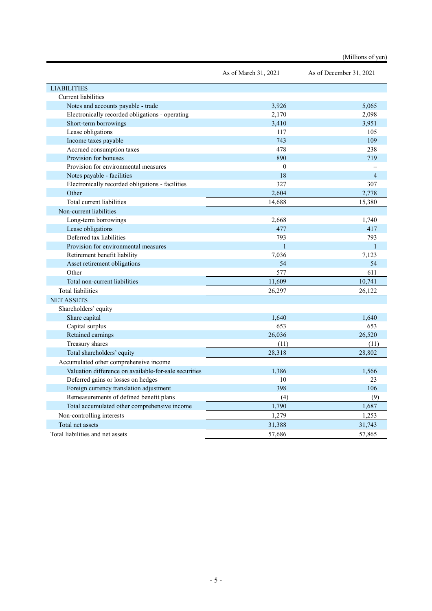|                                                       |                      | (Millions of yen)       |
|-------------------------------------------------------|----------------------|-------------------------|
|                                                       | As of March 31, 2021 | As of December 31, 2021 |
| <b>LIABILITIES</b>                                    |                      |                         |
| <b>Current liabilities</b>                            |                      |                         |
| Notes and accounts payable - trade                    | 3,926                | 5,065                   |
| Electronically recorded obligations - operating       | 2,170                | 2,098                   |
| Short-term borrowings                                 | 3,410                | 3,951                   |
| Lease obligations                                     | 117                  | 105                     |
| Income taxes payable                                  | 743                  | 109                     |
| Accrued consumption taxes                             | 478                  | 238                     |
| Provision for bonuses                                 | 890                  | 719                     |
| Provision for environmental measures                  | $\mathbf{0}$         |                         |
| Notes payable - facilities                            | 18                   | $\overline{4}$          |
| Electronically recorded obligations - facilities      | 327                  | 307                     |
| Other                                                 | 2,604                | 2,778                   |
| Total current liabilities                             | 14,688               | 15,380                  |
| Non-current liabilities                               |                      |                         |
| Long-term borrowings                                  | 2,668                | 1,740                   |
| Lease obligations                                     | 477                  | 417                     |
| Deferred tax liabilities                              | 793                  | 793                     |
| Provision for environmental measures                  | $\mathbf{1}$         | $\mathbf{1}$            |
| Retirement benefit liability                          | 7,036                | 7,123                   |
| Asset retirement obligations                          | 54                   | 54                      |
| Other                                                 | 577                  | 611                     |
| Total non-current liabilities                         | 11,609               | 10,741                  |
| <b>Total liabilities</b>                              | 26,297               | 26,122                  |
| <b>NET ASSETS</b>                                     |                      |                         |
| Shareholders' equity                                  |                      |                         |
| Share capital                                         | 1,640                | 1,640                   |
| Capital surplus                                       | 653                  | 653                     |
| Retained earnings                                     | 26,036               | 26,520                  |
| Treasury shares                                       | (11)                 | (11)                    |
| Total shareholders' equity                            | 28,318               | 28,802                  |
| Accumulated other comprehensive income                |                      |                         |
| Valuation difference on available-for-sale securities | 1,386                | 1,566                   |
| Deferred gains or losses on hedges                    | $10\,$               | 23                      |
| Foreign currency translation adjustment               | 398                  | 106                     |
| Remeasurements of defined benefit plans               | (4)                  | (9)                     |
| Total accumulated other comprehensive income          | 1,790                | 1,687                   |
| Non-controlling interests                             | 1,279                | 1,253                   |
| Total net assets                                      | 31,388               | 31,743                  |
| Total liabilities and net assets                      | 57,686               | 57,865                  |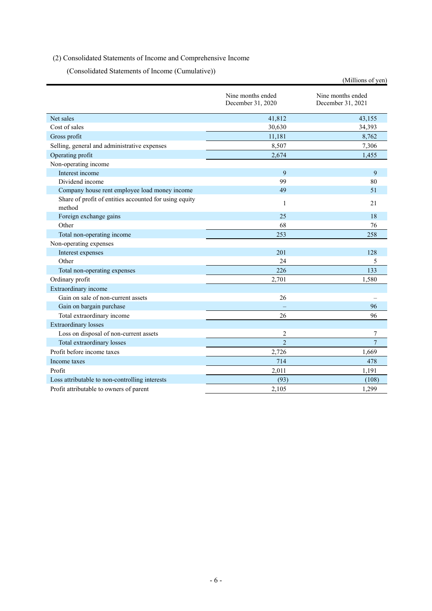### <span id="page-7-1"></span><span id="page-7-0"></span>(2) Consolidated Statements of Income and Comprehensive Income

(Consolidated Statements of Income (Cumulative))

|                                                                  |                                        | (Millions of yen)                      |
|------------------------------------------------------------------|----------------------------------------|----------------------------------------|
|                                                                  | Nine months ended<br>December 31, 2020 | Nine months ended<br>December 31, 2021 |
| Net sales                                                        | 41,812                                 | 43,155                                 |
| Cost of sales                                                    | 30,630                                 | 34,393                                 |
| Gross profit                                                     | 11,181                                 | 8,762                                  |
| Selling, general and administrative expenses                     | 8,507                                  | 7,306                                  |
| Operating profit                                                 | 2,674                                  | 1,455                                  |
| Non-operating income                                             |                                        |                                        |
| Interest income                                                  | 9                                      | 9                                      |
| Dividend income                                                  | 99                                     | 80                                     |
| Company house rent employee load money income                    | 49                                     | 51                                     |
| Share of profit of entities accounted for using equity<br>method | 1                                      | 21                                     |
| Foreign exchange gains                                           | 25                                     | 18                                     |
| Other                                                            | 68                                     | 76                                     |
| Total non-operating income                                       | 253                                    | 258                                    |
| Non-operating expenses                                           |                                        |                                        |
| Interest expenses                                                | 201                                    | 128                                    |
| Other                                                            | 24                                     | 5                                      |
| Total non-operating expenses                                     | 226                                    | 133                                    |
| Ordinary profit                                                  | 2,701                                  | 1,580                                  |
| Extraordinary income                                             |                                        |                                        |
| Gain on sale of non-current assets                               | 26                                     |                                        |
| Gain on bargain purchase                                         |                                        | 96                                     |
| Total extraordinary income                                       | 26                                     | 96                                     |
| <b>Extraordinary losses</b>                                      |                                        |                                        |
| Loss on disposal of non-current assets                           | 2                                      | 7                                      |
| Total extraordinary losses                                       | $\overline{2}$                         | $\overline{7}$                         |
| Profit before income taxes                                       | 2,726                                  | 1,669                                  |
| Income taxes                                                     | 714                                    | 478                                    |
| Profit                                                           | 2,011                                  | 1,191                                  |
| Loss attributable to non-controlling interests                   | (93)                                   | (108)                                  |
| Profit attributable to owners of parent                          | 2,105                                  | 1,299                                  |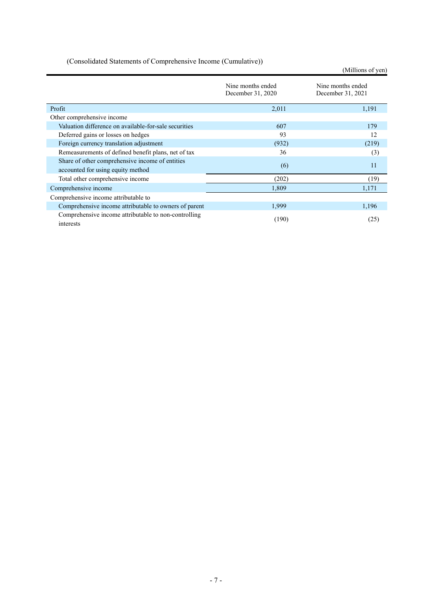|  |  |  | (Consolidated Statements of Comprehensive Income (Cumulative)) |
|--|--|--|----------------------------------------------------------------|
|  |  |  |                                                                |

<span id="page-8-0"></span>(Millions of yen) Nine months ended December 31, 2020 Nine months ended December 31, 2021 Profit  $2,011$  1,191 Other comprehensive income Valuation difference on available-for-sale securities 607 607 179 Deferred gains or losses on hedges 93 12 Foreign currency translation adjustment (932) (219) Remeasurements of defined benefit plans, net of tax 36 (3) Share of other comprehensive income of entities accounted for using equity method 11 accounted for using equity method 11 accounted for using equity method 11 Total other comprehensive income (202) (19) Comprehensive income 1,309 1,171 Comprehensive income attributable to Comprehensive income attributable to owners of parent 1,999 1,196 Comprehensive income attributable to non-controlling (190) (25) (25)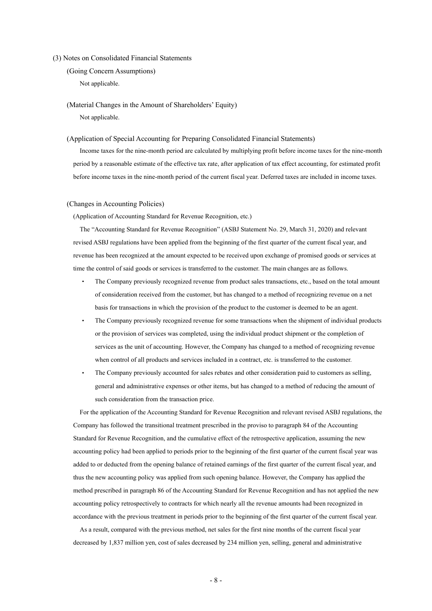#### <span id="page-9-1"></span><span id="page-9-0"></span>(3) Notes on Consolidated Financial Statements

(Going Concern Assumptions) Not applicable.

<span id="page-9-2"></span>(Material Changes in the Amount of Shareholders' Equity) Not applicable.

#### <span id="page-9-3"></span>(Application of Special Accounting for Preparing Consolidated Financial Statements)

Income taxes for the nine-month period are calculated by multiplying profit before income taxes for the nine-month period by a reasonable estimate of the effective tax rate, after application of tax effect accounting, for estimated profit before income taxes in the nine-month period of the current fiscal year. Deferred taxes are included in income taxes.

#### <span id="page-9-4"></span>(Changes in Accounting Policies)

(Application of Accounting Standard for Revenue Recognition, etc.)

The "Accounting Standard for Revenue Recognition" (ASBJ Statement No. 29, March 31, 2020) and relevant revised ASBJ regulations have been applied from the beginning of the first quarter of the current fiscal year, and revenue has been recognized at the amount expected to be received upon exchange of promised goods or services at time the control of said goods or services is transferred to the customer. The main changes are as follows.

- The Company previously recognized revenue from product sales transactions, etc., based on the total amount of consideration received from the customer, but has changed to a method of recognizing revenue on a net basis for transactions in which the provision of the product to the customer is deemed to be an agent.
- The Company previously recognized revenue for some transactions when the shipment of individual products or the provision of services was completed, using the individual product shipment or the completion of services as the unit of accounting. However, the Company has changed to a method of recognizing revenue when control of all products and services included in a contract, etc. is transferred to the customer.
- The Company previously accounted for sales rebates and other consideration paid to customers as selling, general and administrative expenses or other items, but has changed to a method of reducing the amount of such consideration from the transaction price.

For the application of the Accounting Standard for Revenue Recognition and relevant revised ASBJ regulations, the Company has followed the transitional treatment prescribed in the proviso to paragraph 84 of the Accounting Standard for Revenue Recognition, and the cumulative effect of the retrospective application, assuming the new accounting policy had been applied to periods prior to the beginning of the first quarter of the current fiscal year was added to or deducted from the opening balance of retained earnings of the first quarter of the current fiscal year, and thus the new accounting policy was applied from such opening balance. However, the Company has applied the method prescribed in paragraph 86 of the Accounting Standard for Revenue Recognition and has not applied the new accounting policy retrospectively to contracts for which nearly all the revenue amounts had been recognized in accordance with the previous treatment in periods prior to the beginning of the first quarter of the current fiscal year.

As a result, compared with the previous method, net sales for the first nine months of the current fiscal year decreased by 1,837 million yen, cost of sales decreased by 234 million yen, selling, general and administrative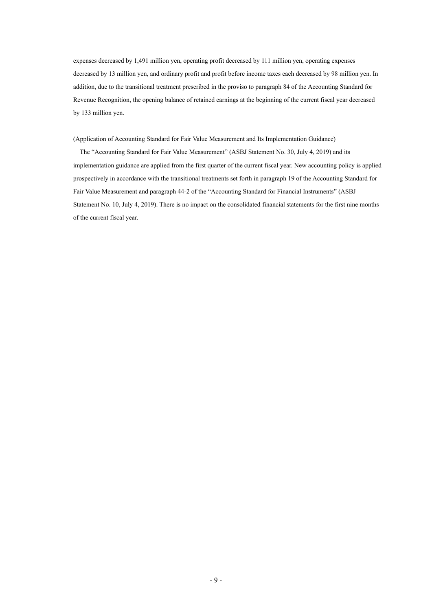expenses decreased by 1,491 million yen, operating profit decreased by 111 million yen, operating expenses decreased by 13 million yen, and ordinary profit and profit before income taxes each decreased by 98 million yen. In addition, due to the transitional treatment prescribed in the proviso to paragraph 84 of the Accounting Standard for Revenue Recognition, the opening balance of retained earnings at the beginning of the current fiscal year decreased by 133 million yen.

(Application of Accounting Standard for Fair Value Measurement and Its Implementation Guidance)

The "Accounting Standard for Fair Value Measurement" (ASBJ Statement No. 30, July 4, 2019) and its implementation guidance are applied from the first quarter of the current fiscal year. New accounting policy is applied prospectively in accordance with the transitional treatments set forth in paragraph 19 of the Accounting Standard for Fair Value Measurement and paragraph 44-2 of the "Accounting Standard for Financial Instruments" (ASBJ Statement No. 10, July 4, 2019). There is no impact on the consolidated financial statements for the first nine months of the current fiscal year.